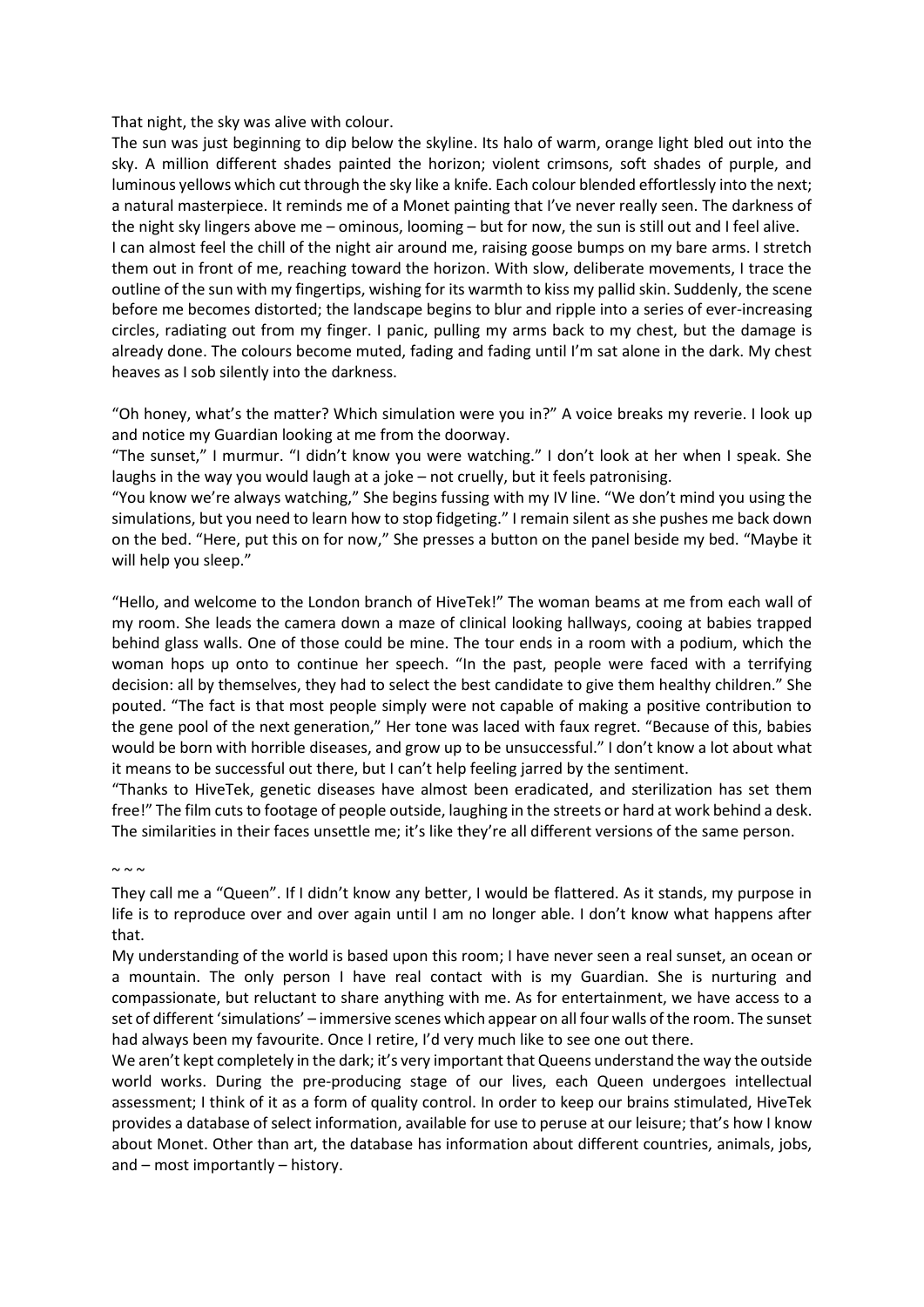That night, the sky was alive with colour.

The sun was just beginning to dip below the skyline. Its halo of warm, orange light bled out into the sky. A million different shades painted the horizon; violent crimsons, soft shades of purple, and luminous yellows which cut through the sky like a knife. Each colour blended effortlessly into the next; a natural masterpiece. It reminds me of a Monet painting that I've never really seen. The darkness of the night sky lingers above me – ominous, looming – but for now, the sun is still out and I feel alive. I can almost feel the chill of the night air around me, raising goose bumps on my bare arms. I stretch them out in front of me, reaching toward the horizon. With slow, deliberate movements, I trace the outline of the sun with my fingertips, wishing for its warmth to kiss my pallid skin. Suddenly, the scene before me becomes distorted; the landscape begins to blur and ripple into a series of ever-increasing circles, radiating out from my finger. I panic, pulling my arms back to my chest, but the damage is already done. The colours become muted, fading and fading until I'm sat alone in the dark. My chest heaves as I sob silently into the darkness.

"Oh honey, what's the matter? Which simulation were you in?" A voice breaks my reverie. I look up and notice my Guardian looking at me from the doorway.

"The sunset," I murmur. "I didn't know you were watching." I don't look at her when I speak. She laughs in the way you would laugh at a joke – not cruelly, but it feels patronising.

"You know we're always watching," She begins fussing with my IV line. "We don't mind you using the simulations, but you need to learn how to stop fidgeting." I remain silent as she pushes me back down on the bed. "Here, put this on for now," She presses a button on the panel beside my bed. "Maybe it will help you sleep."

"Hello, and welcome to the London branch of HiveTek!" The woman beams at me from each wall of my room. She leads the camera down a maze of clinical looking hallways, cooing at babies trapped behind glass walls. One of those could be mine. The tour ends in a room with a podium, which the woman hops up onto to continue her speech. "In the past, people were faced with a terrifying decision: all by themselves, they had to select the best candidate to give them healthy children." She pouted. "The fact is that most people simply were not capable of making a positive contribution to the gene pool of the next generation," Her tone was laced with faux regret. "Because of this, babies would be born with horrible diseases, and grow up to be unsuccessful." I don't know a lot about what it means to be successful out there, but I can't help feeling jarred by the sentiment.

"Thanks to HiveTek, genetic diseases have almost been eradicated, and sterilization has set them free!" The film cuts to footage of people outside, laughing in the streets or hard at work behind a desk. The similarities in their faces unsettle me; it's like they're all different versions of the same person.

 $\sim \sim \sim$ 

They call me a "Queen". If I didn't know any better, I would be flattered. As it stands, my purpose in life is to reproduce over and over again until I am no longer able. I don't know what happens after that.

My understanding of the world is based upon this room; I have never seen a real sunset, an ocean or a mountain. The only person I have real contact with is my Guardian. She is nurturing and compassionate, but reluctant to share anything with me. As for entertainment, we have access to a set of different 'simulations' – immersive scenes which appear on all four walls of the room. The sunset had always been my favourite. Once I retire, I'd very much like to see one out there.

We aren't kept completely in the dark; it's very important that Queens understand the way the outside world works. During the pre-producing stage of our lives, each Queen undergoes intellectual assessment; I think of it as a form of quality control. In order to keep our brains stimulated, HiveTek provides a database of select information, available for use to peruse at our leisure; that's how I know about Monet. Other than art, the database has information about different countries, animals, jobs, and – most importantly – history.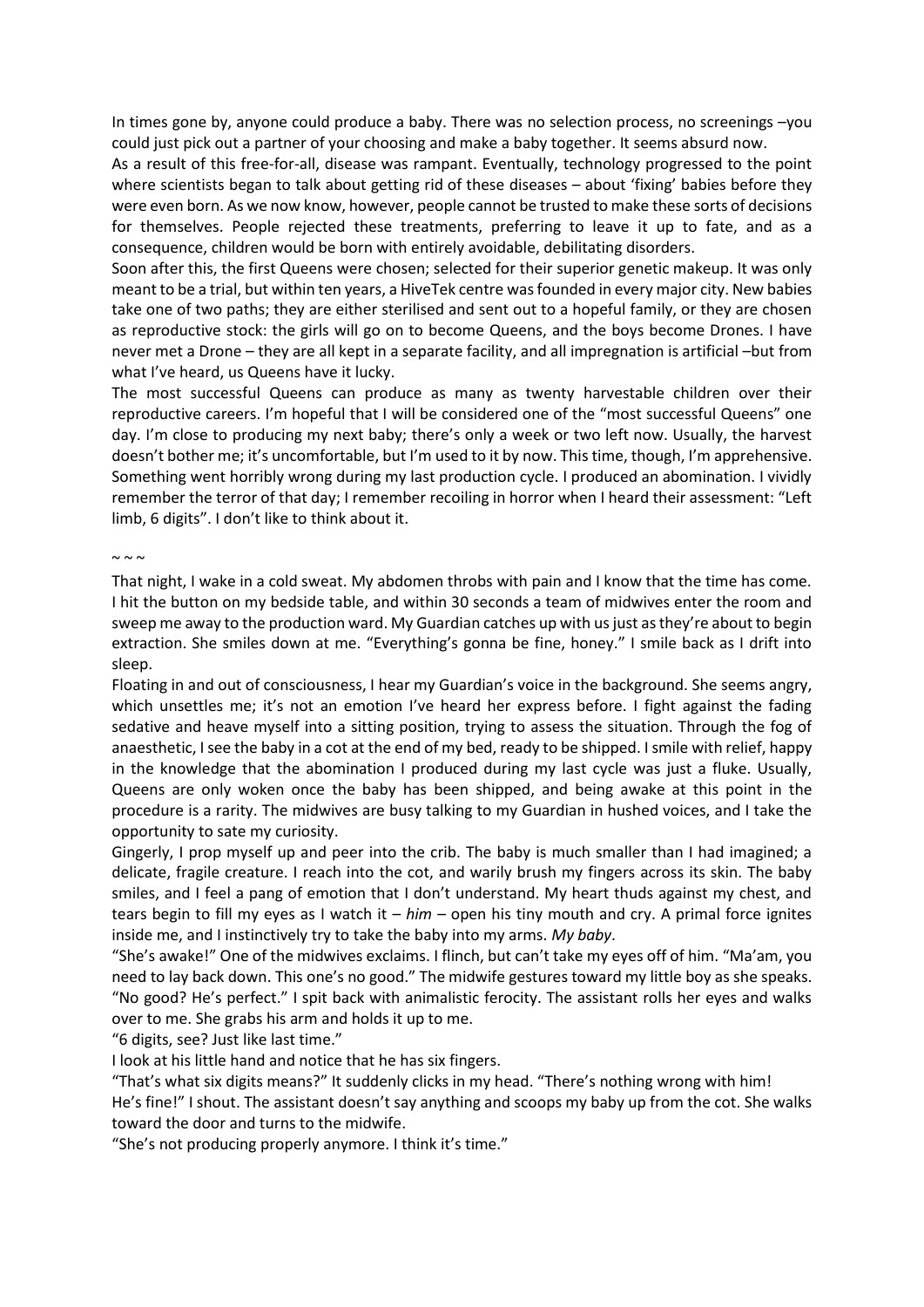In times gone by, anyone could produce a baby. There was no selection process, no screenings –you could just pick out a partner of your choosing and make a baby together. It seems absurd now.

As a result of this free-for-all, disease was rampant. Eventually, technology progressed to the point where scientists began to talk about getting rid of these diseases – about 'fixing' babies before they were even born. As we now know, however, people cannot be trusted to make these sorts of decisions for themselves. People rejected these treatments, preferring to leave it up to fate, and as a consequence, children would be born with entirely avoidable, debilitating disorders.

Soon after this, the first Queens were chosen; selected for their superior genetic makeup. It was only meant to be a trial, but within ten years, a HiveTek centre was founded in every major city. New babies take one of two paths; they are either sterilised and sent out to a hopeful family, or they are chosen as reproductive stock: the girls will go on to become Queens, and the boys become Drones. I have never met a Drone – they are all kept in a separate facility, and all impregnation is artificial –but from what I've heard, us Queens have it lucky.

The most successful Queens can produce as many as twenty harvestable children over their reproductive careers. I'm hopeful that I will be considered one of the "most successful Queens" one day. I'm close to producing my next baby; there's only a week or two left now. Usually, the harvest doesn't bother me; it's uncomfortable, but I'm used to it by now. This time, though, I'm apprehensive. Something went horribly wrong during my last production cycle. I produced an abomination. I vividly remember the terror of that day; I remember recoiling in horror when I heard their assessment: "Left limb, 6 digits". I don't like to think about it.

## $\sim \sim \sim$

That night, I wake in a cold sweat. My abdomen throbs with pain and I know that the time has come. I hit the button on my bedside table, and within 30 seconds a team of midwives enter the room and sweep me away to the production ward. My Guardian catches up with us just as they're about to begin extraction. She smiles down at me. "Everything's gonna be fine, honey." I smile back as I drift into sleep.

Floating in and out of consciousness, I hear my Guardian's voice in the background. She seems angry, which unsettles me; it's not an emotion I've heard her express before. I fight against the fading sedative and heave myself into a sitting position, trying to assess the situation. Through the fog of anaesthetic, I see the baby in a cot at the end of my bed, ready to be shipped. I smile with relief, happy in the knowledge that the abomination I produced during my last cycle was just a fluke. Usually, Queens are only woken once the baby has been shipped, and being awake at this point in the procedure is a rarity. The midwives are busy talking to my Guardian in hushed voices, and I take the opportunity to sate my curiosity.

Gingerly, I prop myself up and peer into the crib. The baby is much smaller than I had imagined; a delicate, fragile creature. I reach into the cot, and warily brush my fingers across its skin. The baby smiles, and I feel a pang of emotion that I don't understand. My heart thuds against my chest, and tears begin to fill my eyes as I watch it – *him* – open his tiny mouth and cry. A primal force ignites inside me, and I instinctively try to take the baby into my arms. *My baby*.

"She's awake!" One of the midwives exclaims. I flinch, but can't take my eyes off of him. "Ma'am, you need to lay back down. This one's no good." The midwife gestures toward my little boy as she speaks. "No good? He's perfect." I spit back with animalistic ferocity. The assistant rolls her eyes and walks over to me. She grabs his arm and holds it up to me.

"6 digits, see? Just like last time."

I look at his little hand and notice that he has six fingers.

"That's what six digits means?" It suddenly clicks in my head. "There's nothing wrong with him!

He's fine!" I shout. The assistant doesn't say anything and scoops my baby up from the cot. She walks toward the door and turns to the midwife.

"She's not producing properly anymore. I think it's time."